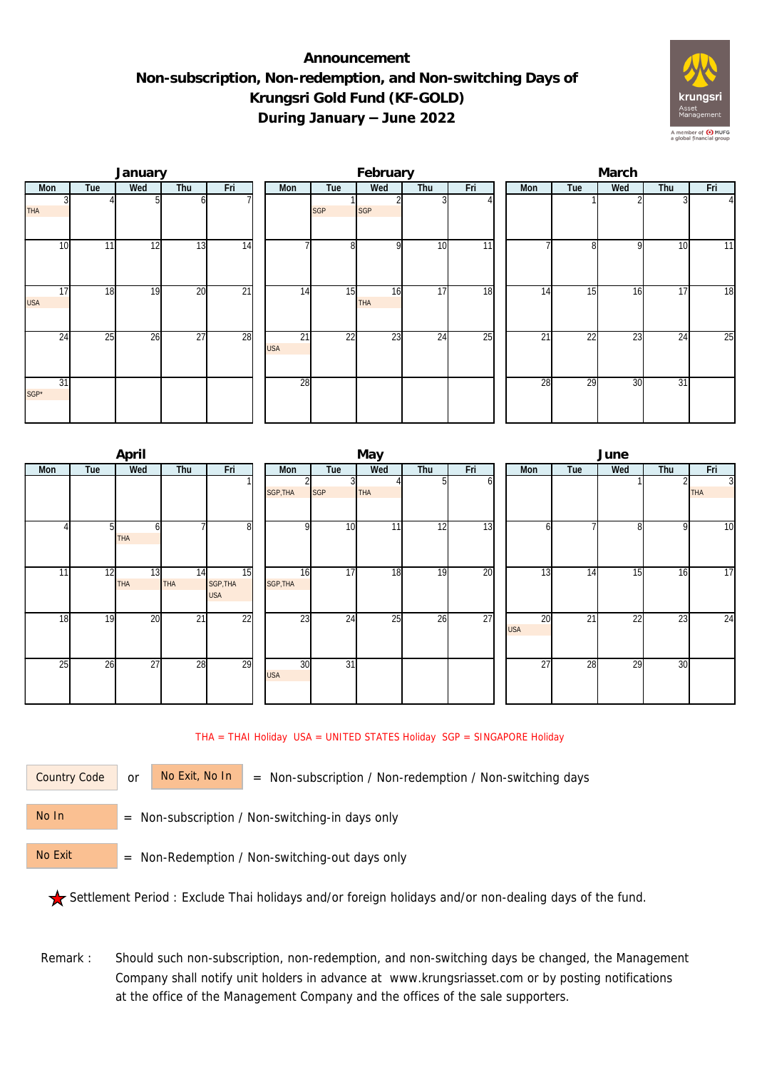## **Announcement Non-subscription, Non-redemption, and Non-switching Days of Krungsri Gold Fund (KF-GOLD) During January – June 2022**



|                  |                 | January |                 |                 |                               |            | February         |     |     | March |                 |              |                 |                |  |  |
|------------------|-----------------|---------|-----------------|-----------------|-------------------------------|------------|------------------|-----|-----|-------|-----------------|--------------|-----------------|----------------|--|--|
| Mon              | Tue             | Wed     | Thu             | Fri             | Mon                           | Tue        | Wed              | Thu | Fri | Mon   | Tue             | Wed          | Thu             | Fri            |  |  |
| THA              |                 |         |                 |                 |                               | <b>SGP</b> | <b>SGP</b>       |     |     |       |                 |              |                 | $\overline{4}$ |  |  |
| 10               | 11 <sub>1</sub> | 12      | 13              | 14              |                               | 8          | $\Omega$         | 10  | 11  |       | 8               | <sup>Q</sup> | 10              | 11             |  |  |
| 17<br><b>USA</b> | 18              | 19      | 20              | $\overline{21}$ | 14                            | 15         | 16<br><b>THA</b> | 17  | 18  | 14    | 15              | 16           | 17              | 18             |  |  |
| 24               | 25              | 26      | $\overline{27}$ | 28              | $\overline{21}$<br><b>USA</b> | 22         | 23               | 24  | 25  | 21    | $\overline{22}$ | 23           | 24              | 25             |  |  |
| 31<br>SGP*       |                 |         |                 |                 | 28                            |            |                  |     |     | 28    | 29              | 30           | $\overline{31}$ |                |  |  |

|     |     | April            |                  |                              |  |                  |            | May        |     |     | June             |     |     |     |                 |     |     |
|-----|-----|------------------|------------------|------------------------------|--|------------------|------------|------------|-----|-----|------------------|-----|-----|-----|-----------------|-----|-----|
| Mon | Tue | Wed              | Thu              | Fri                          |  |                  |            | Mon        | Tue | Wed | Thu              | Fri | Mon | Tue | Wed             | Thu | Fri |
|     |     |                  |                  |                              |  | SGP, THA         | <b>SGP</b> | <b>THA</b> | ы   | ω   |                  |     |     |     | 3<br><b>THA</b> |     |     |
|     | 51  | h<br>THA         |                  | 8                            |  | $\Omega$         | 10         | 11         | 12  | 13  | ωI               |     | ი   | 9   | 10              |     |     |
| 11  | 12  | 13<br><b>THA</b> | 14<br><b>THA</b> | 15<br>SGP, THA<br><b>USA</b> |  | 16<br>SGP, THA   | 17         | 18         | 19  | 20  | 13               | 14  | 15  | 16  | 17              |     |     |
| 18  | 19  | 20               | 21               | $\overline{22}$              |  | 23               | 24         | 25         | 26  | 27  | 20<br><b>USA</b> | 21  | 22  | 23  | 24              |     |     |
| 25  | 26  | 27               | 28               | 29                           |  | 30<br><b>USA</b> | 31         |            |     |     | 27               | 28  | 29  | 30  |                 |     |     |

THA = THAI Holiday USA = UNITED STATES Holiday SGP = SINGAPORE Holiday

Country Code

or  $\overline{\phantom{a}}$  No Exit, No In  $\overline{\phantom{a}}$  = Non-subscription / Non-redemption / Non-switching days

 = Non-subscription / Non-switching-in days only No In

 = Non-Redemption / Non-switching-out days only No Exit

Settlement Period : Exclude Thai holidays and/or foreign holidays and/or non-dealing days of the fund.

Remark : Should such non-subscription, non-redemption, and non-switching days be changed, the Management Company shall notify unit holders in advance at www.krungsriasset.com or by posting notifications at the office of the Management Company and the offices of the sale supporters.